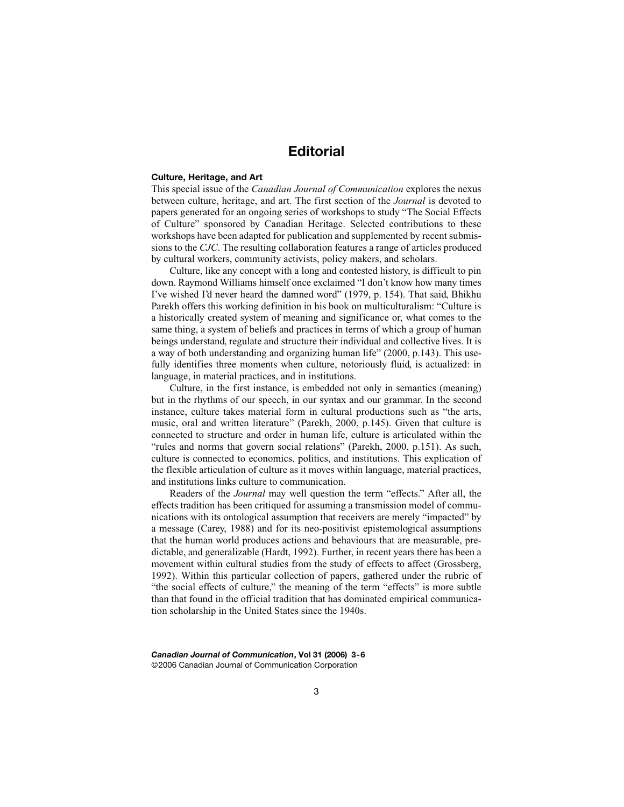## **Editorial**

## **Culture, Heritage, and Art**

This special issue of the *Canadian Journal of Communication* explores the nexus between culture, heritage, and art. The first section of the *Journal* is devoted to papers generated for an ongoing series of workshops to study "The Social Effects of Culture" sponsored by Canadian Heritage. Selected contributions to these workshops have been adapted for publication and supplemented by recent submissions to the *CJC*. The resulting collaboration features a range of articles produced by cultural workers, community activists, policy makers, and scholars.

Culture, like any concept with a long and contested history, is difficult to pin down. Raymond Williams himself once exclaimed "I don't know how many times I've wished I'd never heard the damned word" (1979, p. 154). That said, Bhikhu Parekh offers this working definition in his book on multiculturalism: "Culture is a historically created system of meaning and significance or, what comes to the same thing, a system of beliefs and practices in terms of which a group of human beings understand, regulate and structure their individual and collective lives. It is a way of both understanding and organizing human life" (2000, p.143). This usefully identifies three moments when culture, notoriously fluid, is actualized: in language, in material practices, and in institutions.

Culture, in the first instance, is embedded not only in semantics (meaning) but in the rhythms of our speech, in our syntax and our grammar. In the second instance, culture takes material form in cultural productions such as "the arts, music, oral and written literature" (Parekh, 2000, p.145). Given that culture is connected to structure and order in human life, culture is articulated within the "rules and norms that govern social relations" (Parekh, 2000, p.151). As such, culture is connected to economics, politics, and institutions. This explication of the flexible articulation of culture as it moves within language, material practices, and institutions links culture to communication.

Readers of the *Journal* may well question the term "effects." After all, the effects tradition has been critiqued for assuming a transmission model of communications with its ontological assumption that receivers are merely "impacted" by a message (Carey, 1988) and for its neo-positivist epistemological assumptions that the human world produces actions and behaviours that are measurable, predictable, and generalizable (Hardt, 1992). Further, in recent years there has been a movement within cultural studies from the study of effects to affect (Grossberg, 1992). Within this particular collection of papers, gathered under the rubric of "the social effects of culture," the meaning of the term "effects" is more subtle than that found in the official tradition that has dominated empirical communication scholarship in the United States since the 1940s.

*Canadian Journal of Communication***, Vol 31 (2006) 3-6** ©2006 Canadian Journal of Communication Corporation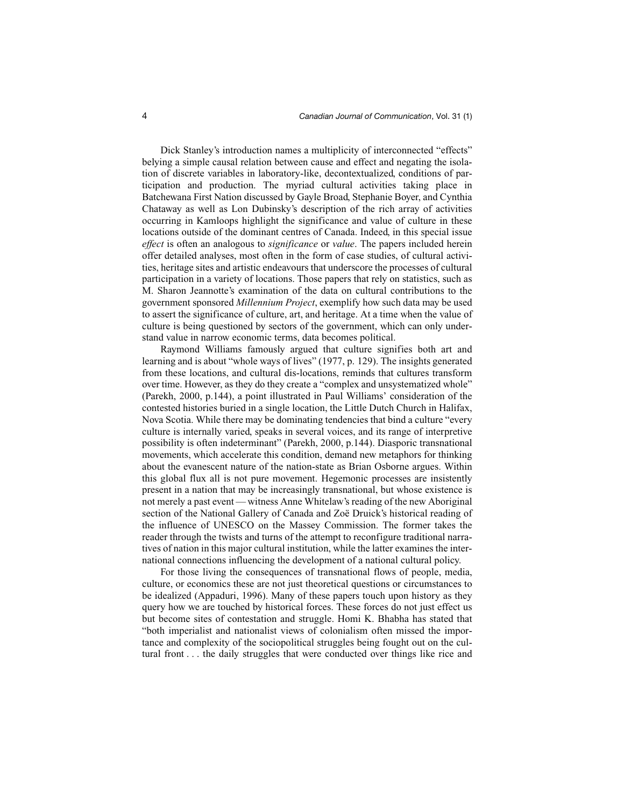Dick Stanley's introduction names a multiplicity of interconnected "effects" belying a simple causal relation between cause and effect and negating the isolation of discrete variables in laboratory-like, decontextualized, conditions of participation and production. The myriad cultural activities taking place in Batchewana First Nation discussed by Gayle Broad, Stephanie Boyer, and Cynthia Chataway as well as Lon Dubinsky's description of the rich array of activities occurring in Kamloops highlight the significance and value of culture in these locations outside of the dominant centres of Canada. Indeed, in this special issue *effect* is often an analogous to *significance* or *value*. The papers included herein offer detailed analyses, most often in the form of case studies, of cultural activities, heritage sites and artistic endeavours that underscore the processes of cultural participation in a variety of locations. Those papers that rely on statistics, such as M. Sharon Jeannotte's examination of the data on cultural contributions to the government sponsored *Millennium Project*, exemplify how such data may be used to assert the significance of culture, art, and heritage. At a time when the value of culture is being questioned by sectors of the government, which can only understand value in narrow economic terms, data becomes political.

Raymond Williams famously argued that culture signifies both art and learning and is about "whole ways of lives" (1977, p. 129). The insights generated from these locations, and cultural dis-locations, reminds that cultures transform over time. However, as they do they create a "complex and unsystematized whole" (Parekh, 2000, p.144), a point illustrated in Paul Williams' consideration of the contested histories buried in a single location, the Little Dutch Church in Halifax, Nova Scotia. While there may be dominating tendencies that bind a culture "every culture is internally varied, speaks in several voices, and its range of interpretive possibility is often indeterminant" (Parekh, 2000, p.144). Diasporic transnational movements, which accelerate this condition, demand new metaphors for thinking about the evanescent nature of the nation-state as Brian Osborne argues. Within this global flux all is not pure movement. Hegemonic processes are insistently present in a nation that may be increasingly transnational, but whose existence is not merely a past event — witness Anne Whitelaw's reading of the new Aboriginal section of the National Gallery of Canada and Zoë Druick's historical reading of the influence of UNESCO on the Massey Commission. The former takes the reader through the twists and turns of the attempt to reconfigure traditional narratives of nation in this major cultural institution, while the latter examines the international connections influencing the development of a national cultural policy.

For those living the consequences of transnational flows of people, media, culture, or economics these are not just theoretical questions or circumstances to be idealized (Appaduri, 1996). Many of these papers touch upon history as they query how we are touched by historical forces. These forces do not just effect us but become sites of contestation and struggle. Homi K. Bhabha has stated that "both imperialist and nationalist views of colonialism often missed the importance and complexity of the sociopolitical struggles being fought out on the cultural front . . . the daily struggles that were conducted over things like rice and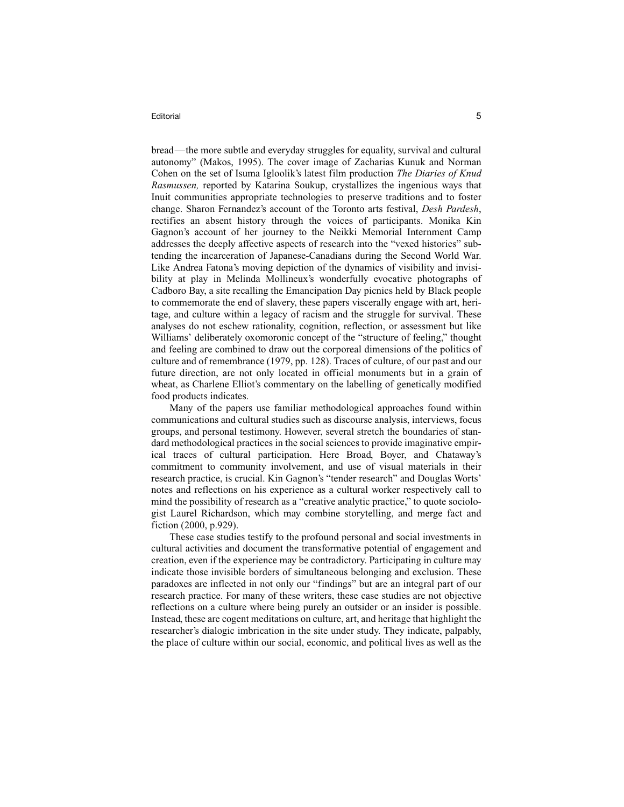## Editorial 5

bread—the more subtle and everyday struggles for equality, survival and cultural autonomy" (Makos, 1995). The cover image of Zacharias Kunuk and Norman Cohen on the set of Isuma Igloolik's latest film production *The Diaries of Knud Rasmussen,* reported by Katarina Soukup, crystallizes the ingenious ways that Inuit communities appropriate technologies to preserve traditions and to foster change. Sharon Fernandez's account of the Toronto arts festival, *Desh Pardesh*, rectifies an absent history through the voices of participants. Monika Kin Gagnon's account of her journey to the Neikki Memorial Internment Camp addresses the deeply affective aspects of research into the "vexed histories" subtending the incarceration of Japanese-Canadians during the Second World War. Like Andrea Fatona's moving depiction of the dynamics of visibility and invisibility at play in Melinda Mollineux's wonderfully evocative photographs of Cadboro Bay, a site recalling the Emancipation Day picnics held by Black people to commemorate the end of slavery, these papers viscerally engage with art, heritage, and culture within a legacy of racism and the struggle for survival. These analyses do not eschew rationality, cognition, reflection, or assessment but like Williams' deliberately oxomoronic concept of the "structure of feeling," thought and feeling are combined to draw out the corporeal dimensions of the politics of culture and of remembrance (1979, pp. 128). Traces of culture, of our past and our future direction, are not only located in official monuments but in a grain of wheat, as Charlene Elliot's commentary on the labelling of genetically modified food products indicates.

Many of the papers use familiar methodological approaches found within communications and cultural studies such as discourse analysis, interviews, focus groups, and personal testimony. However, several stretch the boundaries of standard methodological practices in the social sciences to provide imaginative empirical traces of cultural participation. Here Broad, Boyer, and Chataway's commitment to community involvement, and use of visual materials in their research practice, is crucial. Kin Gagnon's "tender research" and Douglas Worts' notes and reflections on his experience as a cultural worker respectively call to mind the possibility of research as a "creative analytic practice," to quote sociologist Laurel Richardson, which may combine storytelling, and merge fact and fiction (2000, p.929).

These case studies testify to the profound personal and social investments in cultural activities and document the transformative potential of engagement and creation, even if the experience may be contradictory. Participating in culture may indicate those invisible borders of simultaneous belonging and exclusion. These paradoxes are inflected in not only our "findings" but are an integral part of our research practice. For many of these writers, these case studies are not objective reflections on a culture where being purely an outsider or an insider is possible. Instead, these are cogent meditations on culture, art, and heritage that highlight the researcher's dialogic imbrication in the site under study. They indicate, palpably, the place of culture within our social, economic, and political lives as well as the